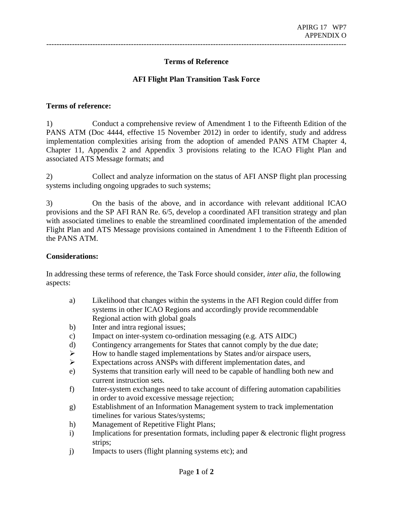**Terms of Reference** 

---------------------------------------------------------------------------------------------------------------------

#### **AFI Flight Plan Transition Task Force**

#### **Terms of reference:**

1) Conduct a comprehensive review of Amendment 1 to the Fifteenth Edition of the PANS ATM (Doc 4444, effective 15 November 2012) in order to identify, study and address implementation complexities arising from the adoption of amended PANS ATM Chapter 4, Chapter 11, Appendix 2 and Appendix 3 provisions relating to the ICAO Flight Plan and associated ATS Message formats; and

2) Collect and analyze information on the status of AFI ANSP flight plan processing systems including ongoing upgrades to such systems;

3) On the basis of the above, and in accordance with relevant additional ICAO provisions and the SP AFI RAN Re. 6/5, develop a coordinated AFI transition strategy and plan with associated timelines to enable the streamlined coordinated implementation of the amended Flight Plan and ATS Message provisions contained in Amendment 1 to the Fifteenth Edition of the PANS ATM.

#### **Considerations:**

In addressing these terms of reference, the Task Force should consider, *inter alia,* the following aspects:

- a) Likelihood that changes within the systems in the AFI Region could differ from systems in other ICAO Regions and accordingly provide recommendable Regional action with global goals
- b) Inter and intra regional issues;
- c) Impact on inter-system co-ordination messaging (e.g. ATS AIDC)
- d) Contingency arrangements for States that cannot comply by the due date;
- ¾ How to handle staged implementations by States and/or airspace users,
- ¾ Expectations across ANSPs with different implementation dates, and
- e) Systems that transition early will need to be capable of handling both new and current instruction sets.
- f) Inter-system exchanges need to take account of differing automation capabilities in order to avoid excessive message rejection;
- g) Establishment of an Information Management system to track implementation timelines for various States/systems;
- h) Management of Repetitive Flight Plans;
- i) Implications for presentation formats, including paper & electronic flight progress strips;
- j) Impacts to users (flight planning systems etc); and